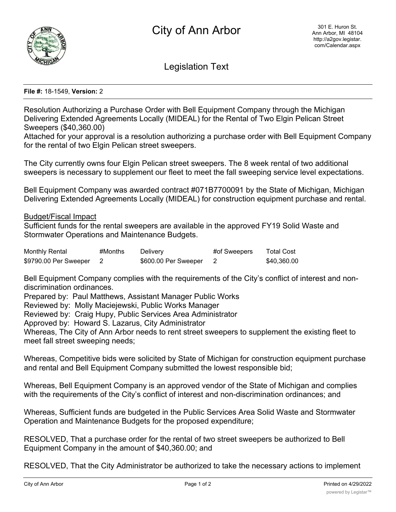

Legislation Text

## **File #:** 18-1549, **Version:** 2

Resolution Authorizing a Purchase Order with Bell Equipment Company through the Michigan Delivering Extended Agreements Locally (MIDEAL) for the Rental of Two Elgin Pelican Street Sweepers (\$40,360.00)

Attached for your approval is a resolution authorizing a purchase order with Bell Equipment Company for the rental of two Elgin Pelican street sweepers.

The City currently owns four Elgin Pelican street sweepers. The 8 week rental of two additional sweepers is necessary to supplement our fleet to meet the fall sweeping service level expectations.

Bell Equipment Company was awarded contract #071B7700091 by the State of Michigan, Michigan Delivering Extended Agreements Locally (MIDEAL) for construction equipment purchase and rental.

Budget/Fiscal Impact

Sufficient funds for the rental sweepers are available in the approved FY19 Solid Waste and Stormwater Operations and Maintenance Budgets.

| <b>Monthly Rental</b> | #Months | Delivery             | #of Sweepers | <b>Total Cost</b> |
|-----------------------|---------|----------------------|--------------|-------------------|
| \$9790.00 Per Sweeper |         | \$600.00 Per Sweeper |              | \$40.360.00       |

Bell Equipment Company complies with the requirements of the City's conflict of interest and nondiscrimination ordinances.

Prepared by: Paul Matthews, Assistant Manager Public Works

Reviewed by: Molly Maciejewski, Public Works Manager

Reviewed by: Craig Hupy, Public Services Area Administrator

Approved by: Howard S. Lazarus, City Administrator

Whereas, The City of Ann Arbor needs to rent street sweepers to supplement the existing fleet to meet fall street sweeping needs;

Whereas, Competitive bids were solicited by State of Michigan for construction equipment purchase and rental and Bell Equipment Company submitted the lowest responsible bid;

Whereas, Bell Equipment Company is an approved vendor of the State of Michigan and complies with the requirements of the City's conflict of interest and non-discrimination ordinances; and

Whereas, Sufficient funds are budgeted in the Public Services Area Solid Waste and Stormwater Operation and Maintenance Budgets for the proposed expenditure;

RESOLVED, That a purchase order for the rental of two street sweepers be authorized to Bell Equipment Company in the amount of \$40,360.00; and

RESOLVED, That the City Administrator be authorized to take the necessary actions to implement